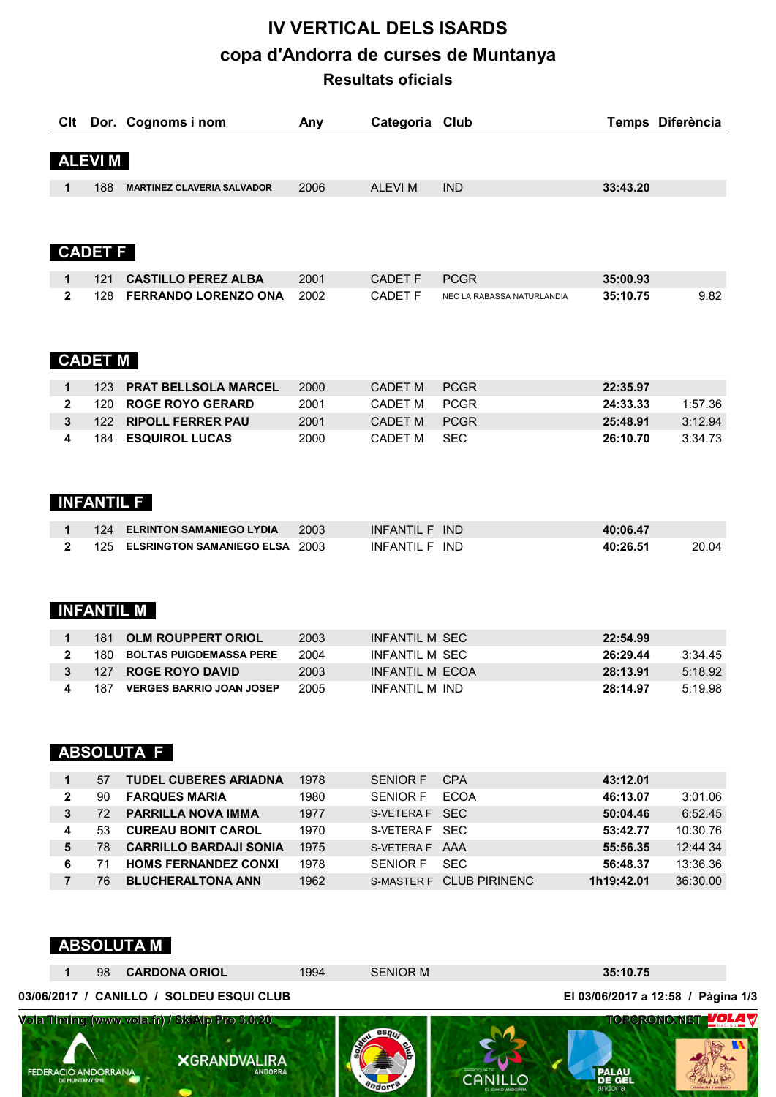# **IV VERTICAL DELS ISARDS copa d'Andorra de curses de Muntanya Resultats oficials**

| Clt            |                   | Dor. Cognoms i nom                    | Any  | Categoria Club        |                            |          | Temps Diferència |
|----------------|-------------------|---------------------------------------|------|-----------------------|----------------------------|----------|------------------|
|                |                   |                                       |      |                       |                            |          |                  |
|                | <b>ALEVIM</b>     |                                       |      |                       |                            |          |                  |
|                |                   |                                       |      |                       |                            |          |                  |
| 1              | 188               | <b>MARTINEZ CLAVERIA SALVADOR</b>     | 2006 | <b>ALEVIM</b>         | <b>IND</b>                 | 33:43.20 |                  |
|                |                   |                                       |      |                       |                            |          |                  |
|                |                   |                                       |      |                       |                            |          |                  |
|                | <b>CADET F</b>    |                                       |      |                       |                            |          |                  |
|                |                   |                                       |      |                       |                            |          |                  |
| 1              | 121               | <b>CASTILLO PEREZ ALBA</b>            | 2001 | <b>CADET F</b>        | <b>PCGR</b>                | 35:00.93 |                  |
| $\overline{2}$ | 128               | <b>FERRANDO LORENZO ONA</b>           | 2002 | <b>CADET F</b>        | NEC LA RABASSA NATURLANDIA | 35:10.75 | 9.82             |
|                |                   |                                       |      |                       |                            |          |                  |
|                |                   |                                       |      |                       |                            |          |                  |
|                | <b>CADET M</b>    |                                       |      |                       |                            |          |                  |
|                |                   |                                       |      |                       |                            |          |                  |
| $\mathbf 1$    | 123               | <b>PRAT BELLSOLA MARCEL</b>           | 2000 | <b>CADET M</b>        | <b>PCGR</b>                | 22:35.97 |                  |
| $\mathbf{2}$   | 120               | <b>ROGE ROYO GERARD</b>               | 2001 | <b>CADET M</b>        | <b>PCGR</b>                | 24:33.33 | 1:57.36          |
| $\mathbf{3}$   | 122               | <b>RIPOLL FERRER PAU</b>              | 2001 | <b>CADET M</b>        | <b>PCGR</b>                | 25:48.91 | 3:12.94          |
| 4              | 184               | <b>ESQUIROL LUCAS</b>                 | 2000 | <b>CADET M</b>        | <b>SEC</b>                 | 26:10.70 | 3:34.73          |
|                |                   |                                       |      |                       |                            |          |                  |
|                |                   |                                       |      |                       |                            |          |                  |
|                | <b>INFANTIL F</b> |                                       |      |                       |                            |          |                  |
|                |                   |                                       |      |                       |                            |          |                  |
| 1              | 124               | <b>ELRINTON SAMANIEGO LYDIA</b>       | 2003 | INFANTIL F IND        |                            | 40:06.47 |                  |
| $\mathbf{2}$   | 125               | <b>ELSRINGTON SAMANIEGO ELSA 2003</b> |      | INFANTIL F IND        |                            | 40:26.51 | 20.04            |
|                |                   |                                       |      |                       |                            |          |                  |
|                |                   |                                       |      |                       |                            |          |                  |
|                | <b>INFANTIL M</b> |                                       |      |                       |                            |          |                  |
|                |                   |                                       |      |                       |                            |          |                  |
| 1              | 181               | <b>OLM ROUPPERT ORIOL</b>             | 2003 | <b>INFANTIL M SEC</b> |                            | 22:54.99 |                  |
| າ              | 180.              | <b>ROLTAS DHIGDEMASSA DEDE</b>        | 2001 | INFANTII M SEC        |                            | 18.79 מר | 3.3115           |

|  | 180 BOLTAS PUIGDEMASSA PERE    | 2004 | INFANTIL M SEC  | 26:29.44 | 3:34.45    |
|--|--------------------------------|------|-----------------|----------|------------|
|  | 127 ROGE ROYO DAVID            | 2003 | INFANTII M FCOA | 28:13.91 | 5:18.92    |
|  | 4 187 VERGES BARRIO JOAN JOSEP | 2005 | INFANTII M IND  | 28:14.97 | $-5:19.98$ |

## **ABSOLUTA F**

|              | 57  | <b>TUDEL CUBERES ARIADNA</b>  | 1978 | <b>SENIOR F</b> | <b>CPA</b>               | 43:12.01   |          |
|--------------|-----|-------------------------------|------|-----------------|--------------------------|------------|----------|
| $\mathbf{2}$ | 90  | <b>FARQUES MARIA</b>          | 1980 | <b>SENIOR F</b> | <b>FCOA</b>              | 46:13.07   | 3:01.06  |
|              | 72. | <b>PARRILLA NOVA IMMA</b>     | 1977 | S-VETERA F SFC  |                          | 50:04.46   | 6:52.45  |
| 4            | 53  | <b>CUREAU BONIT CAROL</b>     | 1970 | S-VETERA F SFC  |                          | 53:42.77   | 10:30.76 |
| 5            | 78  | <b>CARRILLO BARDAJI SONIA</b> | 1975 | S-VETERA F AAA  |                          | 55:56.35   | 12:44.34 |
| 6            |     | <b>HOMS FERNANDEZ CONXI</b>   | 1978 | SENIOR F        | SFC.                     | 56:48.37   | 13:36.36 |
|              | 76  | <b>BLUCHERALTONA ANN</b>      | 1962 |                 | S-MASTER F CLUB PIRINENC | 1h19:42.01 | 36:30.00 |

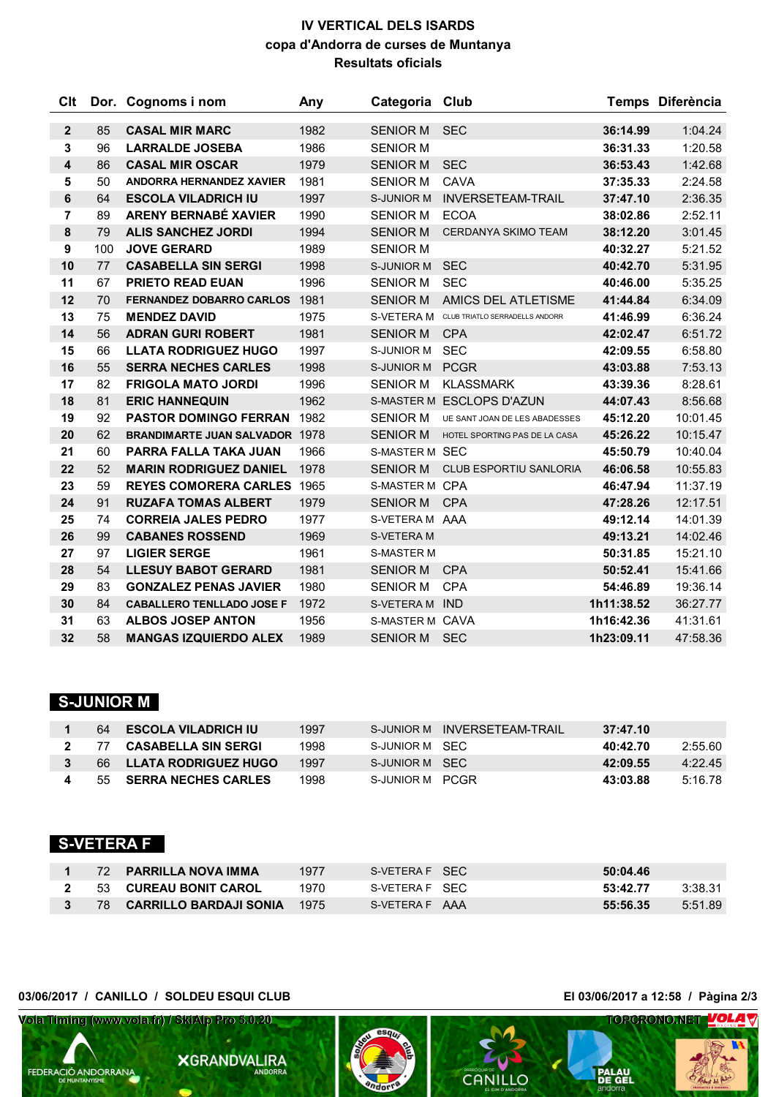## **IV VERTICAL DELS ISARDS copa d'Andorra de curses de Muntanya Resultats oficials**

| Clt                     |     | Dor. Cognoms i nom                    | Any  | Categoria Club        |                                |            | Temps Diferència |
|-------------------------|-----|---------------------------------------|------|-----------------------|--------------------------------|------------|------------------|
|                         |     |                                       |      |                       |                                |            |                  |
| $\mathbf{2}$            | 85  | <b>CASAL MIR MARC</b>                 | 1982 | <b>SENIOR M</b>       | <b>SEC</b>                     | 36:14.99   | 1:04.24          |
| 3                       | 96  | <b>LARRALDE JOSEBA</b>                | 1986 | <b>SENIOR M</b>       |                                | 36:31.33   | 1:20.58          |
| $\overline{\mathbf{4}}$ | 86  | <b>CASAL MIR OSCAR</b>                | 1979 | <b>SENIOR M</b>       | <b>SEC</b>                     | 36:53.43   | 1:42.68          |
| 5                       | 50  | <b>ANDORRA HERNANDEZ XAVIER</b>       | 1981 | <b>SENIOR M</b>       | CAVA                           | 37:35.33   | 2:24.58          |
| 6                       | 64  | <b>ESCOLA VILADRICH IU</b>            | 1997 | <b>S-JUNIOR M</b>     | <b>INVERSETEAM-TRAIL</b>       | 37:47.10   | 2:36.35          |
| 7                       | 89  | <b>ARENY BERNABÉ XAVIER</b>           | 1990 | <b>SENIOR M</b>       | <b>ECOA</b>                    | 38:02.86   | 2:52.11          |
| 8                       | 79  | <b>ALIS SANCHEZ JORDI</b>             | 1994 | <b>SENIOR M</b>       | <b>CERDANYA SKIMO TEAM</b>     | 38:12.20   | 3:01.45          |
| 9                       | 100 | <b>JOVE GERARD</b>                    | 1989 | <b>SENIOR M</b>       |                                | 40:32.27   | 5:21.52          |
| 10                      | 77  | <b>CASABELLA SIN SERGI</b>            | 1998 | S-JUNIOR M            | <b>SEC</b>                     | 40:42.70   | 5:31.95          |
| 11                      | 67  | <b>PRIETO READ EUAN</b>               | 1996 | <b>SENIOR M</b>       | <b>SEC</b>                     | 40:46.00   | 5:35.25          |
| 12                      | 70  | <b>FERNANDEZ DOBARRO CARLOS</b>       | 1981 | <b>SENIOR M</b>       | AMICS DEL ATLETISME            | 41:44.84   | 6:34.09          |
| 13                      | 75  | <b>MENDEZ DAVID</b>                   | 1975 | S-VETERA M            | CLUB TRIATLO SERRADELLS ANDORR | 41:46.99   | 6:36.24          |
| 14                      | 56  | <b>ADRAN GURI ROBERT</b>              | 1981 | <b>SENIOR M</b>       | <b>CPA</b>                     | 42:02.47   | 6:51.72          |
| 15                      | 66  | <b>LLATA RODRIGUEZ HUGO</b>           | 1997 | S-JUNIOR M            | <b>SEC</b>                     | 42:09.55   | 6:58.80          |
| 16                      | 55  | <b>SERRA NECHES CARLES</b>            | 1998 | S-JUNIOR M            | PCGR                           | 43:03.88   | 7:53.13          |
| 17                      | 82  | <b>FRIGOLA MATO JORDI</b>             | 1996 | <b>SENIOR M</b>       | <b>KLASSMARK</b>               | 43:39.36   | 8:28.61          |
| 18                      | 81  | <b>ERIC HANNEQUIN</b>                 | 1962 |                       | S-MASTER M ESCLOPS D'AZUN      | 44:07.43   | 8:56.68          |
| 19                      | 92  | <b>PASTOR DOMINGO FERRAN</b>          | 1982 | <b>SENIOR M</b>       | UE SANT JOAN DE LES ABADESSES  | 45:12.20   | 10:01.45         |
| 20                      | 62  | <b>BRANDIMARTE JUAN SALVADOR 1978</b> |      | <b>SENIOR M</b>       | HOTEL SPORTING PAS DE LA CASA  | 45:26.22   | 10:15.47         |
| 21                      | 60  | <b>PARRA FALLA TAKA JUAN</b>          | 1966 | <b>S-MASTER M SEC</b> |                                | 45:50.79   | 10:40.04         |
| 22                      | 52  | <b>MARIN RODRIGUEZ DANIEL</b>         | 1978 | SENIOR M              | <b>CLUB ESPORTIU SANLORIA</b>  | 46:06.58   | 10:55.83         |
| 23                      | 59  | <b>REYES COMORERA CARLES 1965</b>     |      | S-MASTER M CPA        |                                | 46:47.94   | 11:37.19         |
| 24                      | 91  | <b>RUZAFA TOMAS ALBERT</b>            | 1979 | SENIOR M CPA          |                                | 47:28.26   | 12:17.51         |
| 25                      | 74  | <b>CORREIA JALES PEDRO</b>            | 1977 | S-VETERA M AAA        |                                | 49:12.14   | 14:01.39         |
| 26                      | 99  | <b>CABANES ROSSEND</b>                | 1969 | S-VETERA M            |                                | 49:13.21   | 14:02.46         |
| 27                      | 97  | <b>LIGIER SERGE</b>                   | 1961 | <b>S-MASTER M</b>     |                                | 50:31.85   | 15:21.10         |
| 28                      | 54  | <b>LLESUY BABOT GERARD</b>            | 1981 | <b>SENIOR M</b>       | <b>CPA</b>                     | 50:52.41   | 15:41.66         |
| 29                      | 83  | <b>GONZALEZ PENAS JAVIER</b>          | 1980 | <b>SENIOR M</b>       | <b>CPA</b>                     | 54:46.89   | 19:36.14         |
| 30                      | 84  | <b>CABALLERO TENLLADO JOSE F</b>      | 1972 | S-VETERA M IND        |                                | 1h11:38.52 | 36:27.77         |
| 31                      | 63  | <b>ALBOS JOSEP ANTON</b>              | 1956 | S-MASTER M CAVA       |                                | 1h16:42.36 | 41:31.61         |
| 32                      | 58  | <b>MANGAS IZQUIERDO ALEX</b>          | 1989 | SENIOR M SEC          |                                | 1h23:09.11 | 47:58.36         |

# **S-JUNIOR M**

|    | 64 ESCOLA VILADRICH IU     | 1997 |                 | S-JUNIOR M INVERSETFAM-TRAIL | 37:47.10 |         |
|----|----------------------------|------|-----------------|------------------------------|----------|---------|
| 77 | <b>CASABELLA SIN SERGI</b> | 1998 | S-JUNIOR M SEC  |                              | 40:42.70 | 2:55.60 |
|    | 66 LLATA RODRIGUEZ HUGO    | 1997 | S-JUNIOR M SEC  |                              | 42:09.55 | 4.2245  |
|    | 55 SERRA NECHES CARLES     | 1998 | S-JUNIOR M PCGR |                              | 43:03.88 | 5:16.78 |

## **S-VETERA F**

|  | 72 PARRILLA NOVA IMMA       | 1977 | S-VETERA F SFC | 50:04.46 |         |
|--|-----------------------------|------|----------------|----------|---------|
|  | 2 53 CUREAU BONIT CAROL     | 1970 | S-VETERA F SFC | 53:42.77 | 3:38.31 |
|  | 3 78 CARRILLO BARDAJI SONIA | 1975 | S-VETERA F AAA | 55:56.35 | 5:51.89 |

#### **03/06/2017 / CANILLO / SOLDEU ESQUI CLUB El 03/06/2017 a 12:58 / Pàgina 2/3**